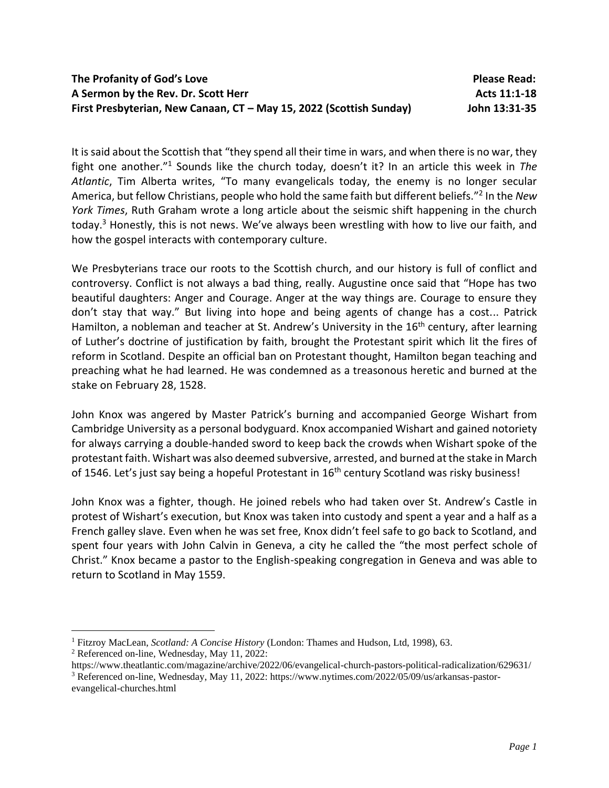It is said about the Scottish that "they spend all their time in wars, and when there is no war, they fight one another."<sup>1</sup> Sounds like the church today, doesn't it? In an article this week in *The Atlantic*, Tim Alberta writes, "To many evangelicals today, the enemy is no longer secular America, but fellow Christians, people who hold the same faith but different beliefs." 2 In the *New York Times*, Ruth Graham wrote a long article about the seismic shift happening in the church today.<sup>3</sup> Honestly, this is not news. We've always been wrestling with how to live our faith, and how the gospel interacts with contemporary culture.

We Presbyterians trace our roots to the Scottish church, and our history is full of conflict and controversy. Conflict is not always a bad thing, really. Augustine once said that "Hope has two beautiful daughters: Anger and Courage. Anger at the way things are. Courage to ensure they don't stay that way." But living into hope and being agents of change has a cost... Patrick Hamilton, a nobleman and teacher at St. Andrew's University in the 16<sup>th</sup> century, after learning of Luther's doctrine of justification by faith, brought the Protestant spirit which lit the fires of reform in Scotland. Despite an official ban on Protestant thought, Hamilton began teaching and preaching what he had learned. He was condemned as a treasonous heretic and burned at the stake on February 28, 1528.

John Knox was angered by Master Patrick's burning and accompanied George Wishart from Cambridge University as a personal bodyguard. Knox accompanied Wishart and gained notoriety for always carrying a double-handed sword to keep back the crowds when Wishart spoke of the protestant faith. Wishart was also deemed subversive, arrested, and burned at the stake in March of 1546. Let's just say being a hopeful Protestant in 16<sup>th</sup> century Scotland was risky business!

John Knox was a fighter, though. He joined rebels who had taken over St. Andrew's Castle in protest of Wishart's execution, but Knox was taken into custody and spent a year and a half as a French galley slave. Even when he was set free, Knox didn't feel safe to go back to Scotland, and spent four years with John Calvin in Geneva, a city he called the "the most perfect schole of Christ." Knox became a pastor to the English-speaking congregation in Geneva and was able to return to Scotland in May 1559.

<sup>1</sup> Fitzroy MacLean, *Scotland: A Concise History* (London: Thames and Hudson, Ltd, 1998), 63.

<sup>2</sup> Referenced on-line, Wednesday, May 11, 2022:

https://www.theatlantic.com/magazine/archive/2022/06/evangelical-church-pastors-political-radicalization/629631/

<sup>3</sup> Referenced on-line, Wednesday, May 11, 2022: https://www.nytimes.com/2022/05/09/us/arkansas-pastorevangelical-churches.html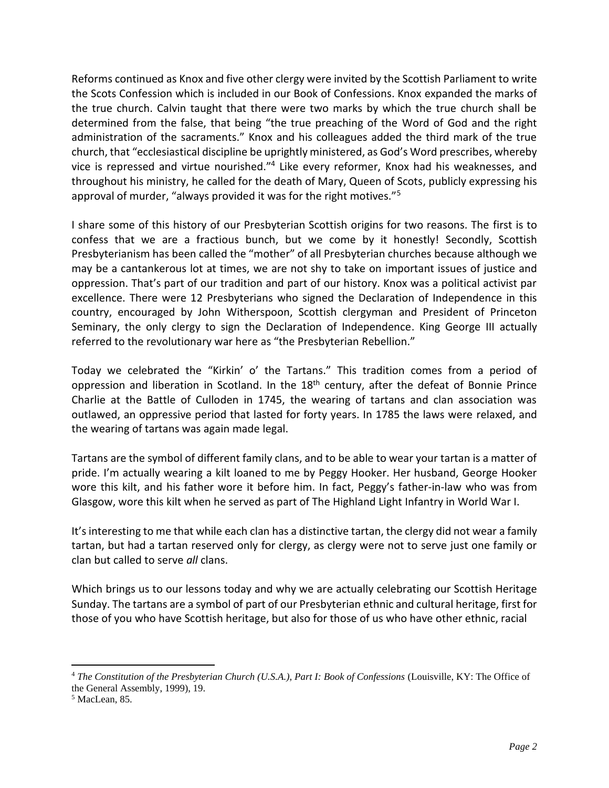Reforms continued as Knox and five other clergy were invited by the Scottish Parliament to write the Scots Confession which is included in our Book of Confessions. Knox expanded the marks of the true church. Calvin taught that there were two marks by which the true church shall be determined from the false, that being "the true preaching of the Word of God and the right administration of the sacraments." Knox and his colleagues added the third mark of the true church, that "ecclesiastical discipline be uprightly ministered, as God's Word prescribes, whereby vice is repressed and virtue nourished."<sup>4</sup> Like every reformer, Knox had his weaknesses, and throughout his ministry, he called for the death of Mary, Queen of Scots, publicly expressing his approval of murder, "always provided it was for the right motives."<sup>5</sup>

I share some of this history of our Presbyterian Scottish origins for two reasons. The first is to confess that we are a fractious bunch, but we come by it honestly! Secondly, Scottish Presbyterianism has been called the "mother" of all Presbyterian churches because although we may be a cantankerous lot at times, we are not shy to take on important issues of justice and oppression. That's part of our tradition and part of our history. Knox was a political activist par excellence. There were 12 Presbyterians who signed the Declaration of Independence in this country, encouraged by John Witherspoon, Scottish clergyman and President of Princeton Seminary, the only clergy to sign the Declaration of Independence. King George III actually referred to the revolutionary war here as "the Presbyterian Rebellion."

Today we celebrated the "Kirkin' o' the Tartans." This tradition comes from a period of oppression and liberation in Scotland. In the 18<sup>th</sup> century, after the defeat of Bonnie Prince Charlie at the Battle of Culloden in 1745, the wearing of tartans and clan association was outlawed, an oppressive period that lasted for forty years. In 1785 the laws were relaxed, and the wearing of tartans was again made legal.

Tartans are the symbol of different family clans, and to be able to wear your tartan is a matter of pride. I'm actually wearing a kilt loaned to me by Peggy Hooker. Her husband, George Hooker wore this kilt, and his father wore it before him. In fact, Peggy's father-in-law who was from Glasgow, wore this kilt when he served as part of The Highland Light Infantry in World War I.

It's interesting to me that while each clan has a distinctive tartan, the clergy did not wear a family tartan, but had a tartan reserved only for clergy, as clergy were not to serve just one family or clan but called to serve *all* clans.

Which brings us to our lessons today and why we are actually celebrating our Scottish Heritage Sunday. The tartans are a symbol of part of our Presbyterian ethnic and cultural heritage, first for those of you who have Scottish heritage, but also for those of us who have other ethnic, racial

<sup>4</sup> *The Constitution of the Presbyterian Church (U.S.A.), Part I: Book of Confessions* (Louisville, KY: The Office of the General Assembly, 1999), 19.

<sup>5</sup> MacLean, 85.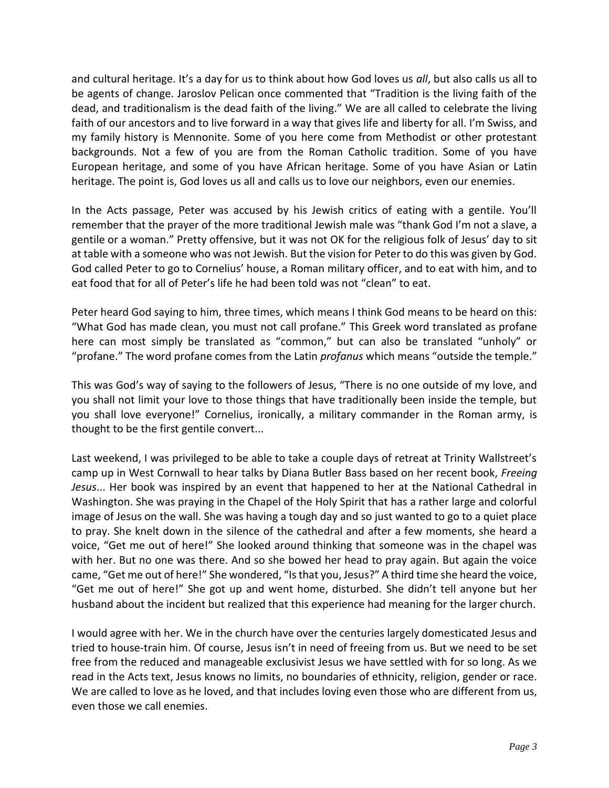and cultural heritage. It's a day for us to think about how God loves us *all*, but also calls us all to be agents of change. Jaroslov Pelican once commented that "Tradition is the living faith of the dead, and traditionalism is the dead faith of the living." We are all called to celebrate the living faith of our ancestors and to live forward in a way that gives life and liberty for all. I'm Swiss, and my family history is Mennonite. Some of you here come from Methodist or other protestant backgrounds. Not a few of you are from the Roman Catholic tradition. Some of you have European heritage, and some of you have African heritage. Some of you have Asian or Latin heritage. The point is, God loves us all and calls us to love our neighbors, even our enemies.

In the Acts passage, Peter was accused by his Jewish critics of eating with a gentile. You'll remember that the prayer of the more traditional Jewish male was "thank God I'm not a slave, a gentile or a woman." Pretty offensive, but it was not OK for the religious folk of Jesus' day to sit at table with a someone who was not Jewish. But the vision for Peter to do this was given by God. God called Peter to go to Cornelius' house, a Roman military officer, and to eat with him, and to eat food that for all of Peter's life he had been told was not "clean" to eat.

Peter heard God saying to him, three times, which means I think God means to be heard on this: "What God has made clean, you must not call profane." This Greek word translated as profane here can most simply be translated as "common," but can also be translated "unholy" or "profane." The word profane comes from the Latin *profanus* which means "outside the temple."

This was God's way of saying to the followers of Jesus, "There is no one outside of my love, and you shall not limit your love to those things that have traditionally been inside the temple, but you shall love everyone!" Cornelius, ironically, a military commander in the Roman army, is thought to be the first gentile convert...

Last weekend, I was privileged to be able to take a couple days of retreat at Trinity Wallstreet's camp up in West Cornwall to hear talks by Diana Butler Bass based on her recent book, *Freeing Jesus*... Her book was inspired by an event that happened to her at the National Cathedral in Washington. She was praying in the Chapel of the Holy Spirit that has a rather large and colorful image of Jesus on the wall. She was having a tough day and so just wanted to go to a quiet place to pray. She knelt down in the silence of the cathedral and after a few moments, she heard a voice, "Get me out of here!" She looked around thinking that someone was in the chapel was with her. But no one was there. And so she bowed her head to pray again. But again the voice came, "Get me out of here!" She wondered, "Is that you, Jesus?" A third time she heard the voice, "Get me out of here!" She got up and went home, disturbed. She didn't tell anyone but her husband about the incident but realized that this experience had meaning for the larger church.

I would agree with her. We in the church have over the centuries largely domesticated Jesus and tried to house-train him. Of course, Jesus isn't in need of freeing from us. But we need to be set free from the reduced and manageable exclusivist Jesus we have settled with for so long. As we read in the Acts text, Jesus knows no limits, no boundaries of ethnicity, religion, gender or race. We are called to love as he loved, and that includes loving even those who are different from us, even those we call enemies.